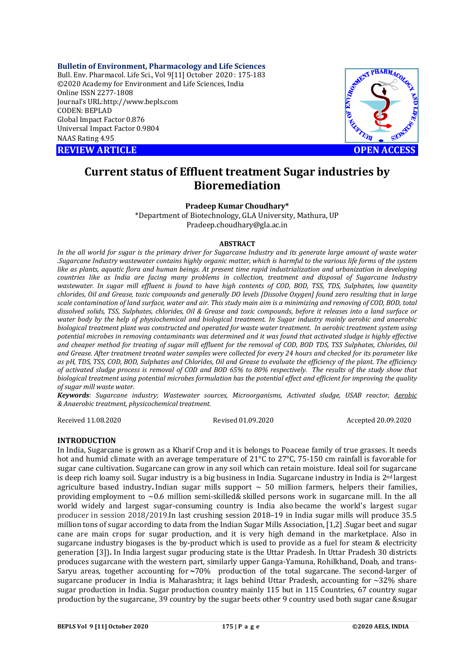**Bulletin of Environment, Pharmacology and Life Sciences** Bull. Env. Pharmacol. Life Sci., Vol 9[11] October 2020 : 175-183 ©2020 Academy for Environment and Life Sciences, India Online ISSN 2277-1808 Journal's URL:<http://www.bepls.com> CODEN: BEPLAD Global Impact Factor 0.876 Universal Impact Factor 0.9804 NAAS Rating 4.95

**REVIEW ARTICLE CONSERVERS** 



# **Current status of Effluent treatment Sugar industries by Bioremediation**

# **Pradeep Kumar Choudhary\***

\*Department of Biotechnology, GLA University, Mathura, UP [Pradeep.choudhary@gla.ac.in](mailto:Pradeep.choudhary@gla.ac.in)

#### **ABSTRACT**

*In the all world for sugar is the primary driver for Sugarcane Industry and its generate large amount of waste water .Sugarcane Industry wastewater contains highly organic matter, which is harmful to the various life forms of the system like as plants, aquatic flora and human beings. At present time rapid industrialization and urbanization in developing countries like as India are facing many problems in collection, treatment and disposal of Sugarcane Industry wastewater. In sugar mill effluent is found to have high contents of COD, BOD, TSS, TDS, Sulphates, low quantity chlorides, Oil and Grease, toxic compounds and generally DO levels [Dissolve Oxygen] found zero resulting that in large scale contamination of land surface, water and air. This study main aim is a minimizing and removing of COD, BOD, total dissolved solids, TSS, Sulphates, chlorides, Oil & Grease and toxic compounds, before it releases into a land surface or water body by the help of physiochemical and biological treatment. In Sugar industry mainly aerobic and anaerobic biological treatment plant was constructed and operated for waste water treatment. In aerobic treatment system using potential microbes in removing contaminants was determined and it was found that activated sludge is highly effective and cheaper method for treating of sugar mill effluent for the removal of COD, BOD TDS, TSS Sulphates, Chlorides, Oil and Grease. After treatment treated water samples were collected for every 24 hours and checked for its parameter like as pH, TDS, TSS, COD, BOD, Sulphates and Chlorides, Oil and Grease to evaluate the efficiency of the plant. The efficiency of activated sludge process is removal of COD and BOD 65% to 80% respectively. The results of the study show that biological treatment using potential microbes formulation has the potential effect and efficient for improving the quality of sugar mill waste water.*

*Keywords: Sugarcane industry; Wastewater sources, Microorganisms, Activated sludge, USAB reactor, Aerobic & Anaerobic treatment, physicochemical treatment.*

Received 11.08.2020 Revised 01.09.2020 Accepted 20.09.2020

### **INTRODUCTION**

In India, Sugarcane is grown as a Kharif Crop and it is belongs to Poaceae family of true grasses. It needs hot and humid climate with an average temperature of 21°C to 27°C, 75-150 cm rainfall is favorable for sugar cane cultivation. Sugarcane can grow in any soil which can retain moisture. Ideal soil for sugarcane is deep rich loamy soil. Sugar industry is a big business in India. Sugarcane industry in India is 2nd largest agriculture based industry Indian sugar mills support  $\sim$  50 million farmers, helpers their families, providing employment to  $\sim 0.6$  million semi-skilled& skilled persons work in sugarcane mill. In the all world widely and largest sugar-consuming country is India also became the world's largest sugar producer in session 2018/2019.In last crushing session 2018–19 in India sugar mills will produce 35.5 million tons of sugar according to data from the Indian Sugar Mills Association, [1,2] .Sugar beet and sugar cane are main crops for sugar production, and it is very high demand in the marketplace. Also in sugarcane industry biogases is the by-product which is used to provide as a fuel for steam & electricity generation [3])**.** In India largest sugar producing state is the Uttar Pradesh. In Uttar Pradesh 30 districts produces sugarcane with the western part, similarly upper Ganga-Yamuna, Rohilkhand, Doab, and trans-Saryu areas, together accounting for **~**70% production of the total sugarcane. The second-larger of sugarcane producer in India is Maharashtra; it lags behind Uttar Pradesh, accounting for  $\sim$ 32% share sugar production in India. Sugar production country mainly 115 but in 115 Countries, 67 country sugar production by the sugarcane, 39 country by the sugar beets other 9 country used both sugar cane &sugar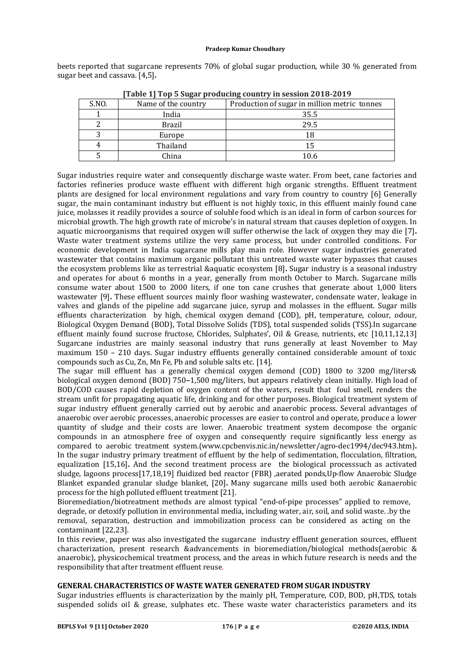beets reported that sugarcane represents 70% of global sugar production, while 30 % generated from sugar beet and cassava. [4,5]**.**

| Table 1] Top 5 Sugar producing country in Session 2016-2019 |                     |                                              |  |
|-------------------------------------------------------------|---------------------|----------------------------------------------|--|
| S.NO.                                                       | Name of the country | Production of sugar in million metric tonnes |  |
|                                                             | India               | 35.5                                         |  |
|                                                             | <b>Brazil</b>       | 29.5                                         |  |
|                                                             | Europe              | 18                                           |  |
| 4                                                           | Thailand            | 15                                           |  |
|                                                             | China               | 10.6                                         |  |

**[Table 1] Top 5 Sugar producing country in session 2018-2019**

Sugar industries require water and consequently discharge waste water. From beet, cane factories and factories refineries produce waste effluent with different high organic strengths. Effluent treatment plants are designed for local environment regulations and vary from country to country [6] Generally sugar, the main contaminant industry but effluent is not highly toxic, in this effluent mainly found cane juice, molasses it readily provides a source of soluble food which is an ideal in form of carbon sources for microbial growth. The high growth rate of microbe's in natural stream that causes depletion of oxygen. In aquatic microorganisms that required oxygen will suffer otherwise the lack of oxygen they may die [7]**.** Waste water treatment systems utilize the very same process, but under controlled conditions. For economic development in India sugarcane mills play main role. However sugar industries generated wastewater that contains maximum organic pollutant this untreated waste water bypasses that causes the ecosystem problems like as terrestrial &aquatic ecosystem [8]**.** Sugar industry is a seasonal industry and operates for about 6 months in a year, generally from month October to March. Sugarcane mills consume water about 1500 to 2000 liters, if one ton cane crushes that generate about 1,000 liters wastewater [9]**.** These effluent sources mainly floor washing wastewater, condensate water, leakage in valves and glands of the pipeline add sugarcane juice, syrup and molasses in the effluent. Sugar mills effluents characterization by high, chemical oxygen demand (COD), pH, temperature, colour, odour, Biological Oxygen Demand (BOD), Total Dissolve Solids (TDS), total suspended solids (TSS).In sugarcane effluent mainly found sucrose fructose, Chlorides, Sulphates', Oil & Grease, nutrients, etc [10,11,12,13] Sugarcane industries are mainly seasonal industry that runs generally at least November to May maximum 150 – 210 days. Sugar industry effluents generally contained considerable amount of toxic compounds such as Cu, Zn, Mn Fe, Pb and soluble salts etc. [14].

The sugar mill effluent has a generally chemical oxygen demond (COD) 1800 to 3200 mg/liters& biological oxygen demond (BOD) 750**–**1,500 mg/liters, but appears relatively clean initially. High load of BOD/COD causes rapid depletion of oxygen content of the waters, result that foul smell, renders the stream unfit for propagating aquatic life, drinking and for other purposes. Biological treatment system of sugar industry effluent generally carried out by aerobic and anaerobic process. Several advantages of anaerobic over aerobic processes, anaerobic processes are easier to control and operate, produce a lower quantity of sludge and their costs are lower. Anaerobic treatment system decompose the organic compounds in an atmosphere free of oxygen and consequently require significantly less energy as compared to aerobic treatment system.[\(www.cpcbenvis.nic.in/newsletter/agro-dec1994/dec943.htm\)](http://www.cpcbenvis.nic.in/newsletter/agro-dec1994/dec943.htm))**.**  In the sugar industry primary treatment of effluent by the help of sedimentation, flocculation, filtration, equalization [15,16]**.** And the second treatment process are the biological processsuch as activated sludge, lagoons process[17,18,19] fluidized bed reactor (FBR) ,aerated ponds,Up-flow Anaerobic Sludge Blanket expanded granular sludge blanket, [20]**.** Many sugarcane mills used both aerobic &anaerobic process for the high polluted effluent treatment [21].

Bioremediation/biotreatment methods are almost typical "end-of-pipe processes" applied to remove, degrade, or detoxify pollution in environmental media, including water, air, soil, and solid waste. .by the removal, separation, destruction and immobilization process can be considered as acting on the contaminant [22,23].

In this review, paper was also investigated the sugarcane industry effluent generation sources, effluent characterization, present research &advancements in bioremediation/biological methods(aerobic & anaerobic), physicochemical treatment process, and the areas in which future research is needs and the responsibility that after treatment effluent reuse.

### **GENERAL CHARACTERISTICS OF WASTE WATER GENERATED FROM SUGAR INDUSTRY**

Sugar industries effluents is characterization by the mainly pH, Temperature, COD, BOD, pH,TDS, totals suspended solids oil & grease, sulphates etc. These waste water characteristics parameters and its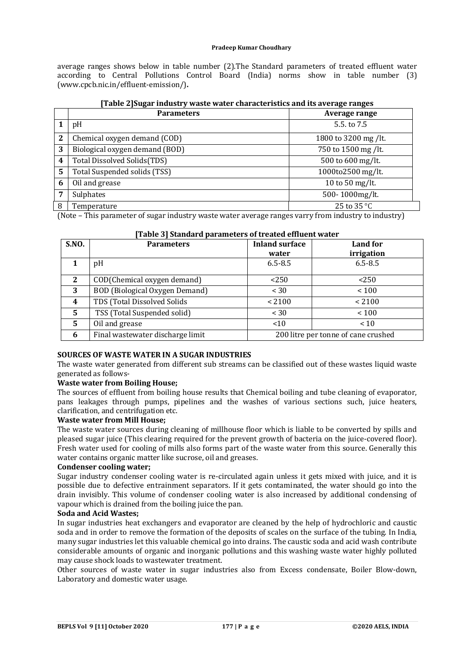average ranges shows below in table number (2).The Standard parameters of treated effluent water according to Central Pollutions Control Board (India) norms show in table number (3) ([www.cpcb.nic.in/effluent-emission/\)](http://www.cpcb.nic.in/effluent-emission/))**.**

|   | <b>Parameters</b>              | Average range        |
|---|--------------------------------|----------------------|
|   | pH                             | 5.5 to 7.5           |
| 2 | Chemical oxygen demand (COD)   | 1800 to 3200 mg /lt. |
| 3 | Biological oxygen demand (BOD) | 750 to 1500 mg /lt.  |
| 4 | Total Dissolved Solids(TDS)    | 500 to 600 mg/lt.    |
| 5 | Total Suspended solids (TSS)   | 1000to2500 mg/lt.    |
| 6 | Oil and grease                 | 10 to 50 mg/lt.      |
| 7 | Sulphates                      | 500-1000mg/lt.       |
| 8 | Temperature                    | 25 to 35 °C          |

| [Table 2] Sugar industry waste water characteristics and its average ranges |  |  |
|-----------------------------------------------------------------------------|--|--|

(Note – This parameter of sugar industry waste water average ranges varry from industry to industry)

| s consecuent on pour cases |                                  |                       |                                     |
|----------------------------|----------------------------------|-----------------------|-------------------------------------|
| <b>S.NO.</b>               | <b>Parameters</b>                | <b>Inland surface</b> | Land for                            |
|                            |                                  | water                 | irrigation                          |
|                            | pH                               | $6.5 - 8.5$           | $6.5 - 8.5$                         |
| $\mathbf{2}$               | COD(Chemical oxygen demand)      | < 250                 | < 250                               |
| 3                          | BOD (Biological Oxygen Demand)   | < 30                  | ~100                                |
| 4                          | TDS (Total Dissolved Solids      | < 2100                | < 2100                              |
| 5                          | TSS (Total Suspended solid)      | < 30                  | ~100                                |
| 5                          | Oil and grease                   | < 10                  | < 10                                |
| 6                          | Final wastewater discharge limit |                       | 200 litre per tonne of cane crushed |

#### **[Table 3] Standard parameters of treated effluent water**

### **SOURCES OF WASTE WATER IN A SUGAR INDUSTRIES**

The waste water generated from different sub streams can be classified out of these wastes liquid waste generated as follows-

# **Waste water from Boiling House;**

The sources of effluent from boiling house results that Chemical boiling and tube cleaning of evaporator, pans leakages through pumps, pipelines and the washes of various sections such, juice heaters, clarification, and centrifugation etc.

#### **Waste water from Mill House;**

The waste water sources during cleaning of millhouse floor which is liable to be converted by spills and pleased sugar juice (This clearing required for the prevent growth of bacteria on the juice-covered floor). Fresh water used for cooling of mills also forms part of the waste water from this source. Generally this water contains organic matter like sucrose, oil and greases.

#### **Condenser cooling water;**

Sugar industry condenser cooling water is re-circulated again unless it gets mixed with juice, and it is possible due to defective entrainment separators. If it gets contaminated, the water should go into the drain invisibly. This volume of condenser cooling water is also increased by additional condensing of vapour which is drained from the boiling juice the pan.

#### **Soda and Acid Wastes;**

In sugar industries heat exchangers and evaporator are cleaned by the help of hydrochloric and caustic soda and in order to remove the formation of the deposits of scales on the surface of the tubing. In India, many sugar industries let this valuable chemical go into drains. The caustic soda and acid wash contribute considerable amounts of organic and inorganic pollutions and this washing waste water highly polluted may cause shock loads to wastewater treatment.

Other sources of waste water in sugar industries also from Excess condensate, Boiler Blow-down, Laboratory and domestic water usage.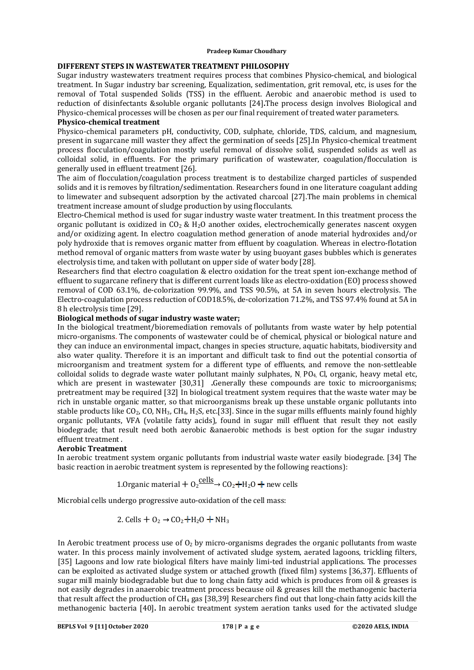# **DIFFERENT STEPS IN WASTEWATER TREATMENT PHILOSOPHY**

Sugar industry wastewaters treatment requires process that combines Physico-chemical, and biological treatment. In Sugar industry bar screening, Equalization, sedimentation, grit removal, etc, is uses for the removal of Total suspended Solids (TSS) in the effluent. Aerobic and anaerobic method is used to reduction of disinfectants &soluble organic pollutants [24]**.**The process design involves Biological and Physico-chemical processes will be chosen as per our final requirement of treated water parameters.

#### **Physico-chemical treatment**

Physico-chemical parameters pH, conductivity, COD, sulphate, chloride, TDS, calcium, and magnesium, present in sugarcane mill waster they affect the germination of seeds [25].In Physico-chemical treatment process flocculation/coagulation mostly useful removal of dissolve solid, suspended solids as well as colloidal solid, in effluents. For the primary purification of wastewater, coagulation/flocculation is generally used in effluent treatment [26].

The aim of flocculation/coagulation process treatment is to destabilize charged particles of suspended solids and it is removes by filtration/sedimentation. Researchers found in one literature coagulant adding to limewater and subsequent adsorption by the activated charcoal [27].The main problems in chemical treatment increase amount of sludge production by using flocculants.

Electro-Chemical method is used for sugar industry waste water treatment. In this treatment process the organic pollutant is oxidized in  $CO<sub>2</sub>$  & H<sub>2</sub>O another oxides, electrochemically generates nascent oxygen and/or oxidizing agent. In electro coagulation method generation of anode material hydroxides and/or poly hydroxide that is removes organic matter from effluent by coagulation. Whereas in electro-flotation method removal of organic matters from waste water by using buoyant gases bubbles which is generates electrolysis time, and taken with pollutant on upper side of water body [28].

Researchers find that electro coagulation & electro oxidation for the treat spent ion-exchange method of effluent to sugarcane refinery that is different current loads like as electro-oxidation (EO) process showed removal of COD 63.1%, de-colorization 99.9%, and TSS 90.5%, at 5A in seven hours electrolysis. The Electro-coagulation process reduction of COD18.5%, de-colorization 71.2%, and TSS 97.4% found at 5A in 8 h electrolysis time [29].

# **Biological methods of sugar industry waste water;**

In the biological treatment/bioremediation removals of pollutants from waste water by help potential micro-organisms. The components of wastewater could be of chemical, physical or biological nature and they can induce an environmental impact, changes in species structure, aquatic habitats, biodiversity and also water quality. Therefore it is an important and difficult task to find out the potential consortia of microorganism and treatment system for a different type of effluents, and remove the non-settleable colloidal solids to degrade waste water pollutant mainly sulphates, N,  $PQ<sub>4</sub>$ , Cl, organic, heavy metal etc, which are present in wastewater [30,31] **.**Generally these compounds are toxic to microorganisms; pretreatment may be required [32] In biological treatment system requires that the waste water may be rich in unstable organic matter, so that microorganisms break up these unstable organic pollutants into stable products like  $CO<sub>2</sub>$ ,  $CO$ , NH<sub>3</sub>, CH<sub>4</sub>, H<sub>2</sub>S, etc.[33]. Since in the sugar mills effluents mainly found highly organic pollutants, VFA (volatile fatty acids), found in sugar mill effluent that result they not easily biodegrade; that result need both aerobic &anaerobic methods is best option for the sugar industry effluent treatment .

### **Aerobic Treatment**

In aerobic treatment system organic pollutants from industrial waste water easily biodegrade. [34] The basic reaction in aerobic treatment system is represented by the following reactions):

1.0rganic material + 
$$
O_2 \frac{cells}{2}
$$
 +  $CO_2$ + $H_2O$  + new cells

Microbial cells undergo progressive auto-oxidation of the cell mass:

2. Cells 
$$
+ 0_2 \rightarrow CO_2 + H_2O + NH_3
$$

In Aerobic treatment process use of  $O_2$  by micro-organisms degrades the organic pollutants from waste water. In this process mainly involvement of activated sludge system, aerated lagoons, trickling filters, [35] Lagoons and low rate biological filters have mainly limi-ted industrial applications. The processes can be exploited as activated sludge system or attached growth (fixed film) systems [36,37]. Effluents of sugar mill mainly biodegradable but due to long chain fatty acid which is produces from oil & greases is not easily degrades in anaerobic treatment process because oil & greases kill the methanogenic bacteria that result affect the production of  $CH_4$  gas [38,39] Researchers find out that long-chain fatty acids kill the methanogenic bacteria [40]**.** In aerobic treatment system aeration tanks used for the activated sludge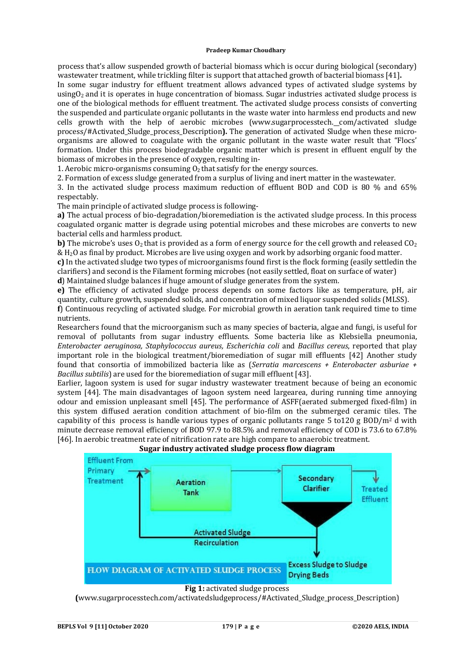process that's allow suspended growth of bacterial biomass which is occur during biological (secondary) wastewater treatment, while trickling filter is support that attached growth of bacterial biomass [41]**.**

In some sugar industry for effluent treatment allows advanced types of activated sludge systems by usingO<sub>2</sub> and it is operates in huge concentration of biomass. Sugar industries activated sludge process is one of the biological methods for effluent treatment. The activated sludge process consists of converting the suspended and particulate organic pollutants in the waste water into harmless end products and new cells growth with the help of aerobic microbes [\(www.sugarprocesstech.](http://www.sugarprocesstech.) com/activated sludge process/#Activated\_Sludge\_process\_Description**).** The generation of activated Sludge when these microorganisms are allowed to coagulate with the organic pollutant in the waste water result that "Flocs' formation. Under this process biodegradable organic matter which is present in effluent engulf by the biomass of microbes in the presence of oxygen, resulting in-

1. Aerobic micro-organisms consuming  $O_2$  that satisfy for the energy sources.

2. Formation of excess sludge generated from a surplus of living and inert matter in the wastewater.

3. In the activated sludge process maximum reduction of effluent BOD and COD is 80 % and 65% respectably.

The main principle of activated sludge process is following-

**a)** The actual process of bio-degradation/bioremediation is the activated sludge process. In this process coagulated organic matter is degrade using potential microbes and these microbes are converts to new bacterial cells and harmless product.

**b)** The microbe's uses  $O_2$  that is provided as a form of energy source for the cell growth and released  $CO_2$ & H2O as final by product. Microbes are live using oxygen and work by adsorbing organic food matter.

**c)** In the activated sludge two types of microorganisms found first is the flock forming (easily settledin the clarifiers) and second is the Filament forming microbes (not easily settled, float on surface of water)

**d**) Maintained sludge balances if huge amount of sludge generates from the system.

**e)** The efficiency of activated sludge process depends on some factors like as temperature, pH, air quantity, culture growth, suspended solids, and concentration of mixed liquor suspended solids (MLSS).

**f**) Continuous recycling of activated sludge. For microbial growth in aeration tank required time to time nutrients.

Researchers found that the microorganism such as many species of bacteria, algae and fungi, is useful for removal of pollutants from sugar industry effluents. Some bacteria like as Klebsiella pneumonia, *Enterobacter aeruginosa, Staphylococcus aureus, Escherichia coli* and *Bacillus cereus*, reported that play important role in the biological treatment/bioremediation of sugar mill effluents [42] Another study found that consortia of immobilized bacteria like as (*Serratia marcescens + Enterobacter asburiae + Bacillus subtilis*) are used for the bioremediation of sugar mill effluent [43].

Earlier, lagoon system is used for sugar industry wastewater treatment because of being an economic system [44]. The main disadvantages of lagoon system need largearea, during running time annoying odour and emission unpleasant smell [45]. The performance of ASFF(aerated submerged fixed-film) in this system diffused aeration condition attachment of bio-film on the submerged ceramic tiles. The capability of this process is handle various types of organic pollutants range 5 to 120 g BOD/m<sup>2</sup> d with minute decrease removal efficiency of BOD 97.9 to 88.5% and removal efficiency of COD is 73.6 to 67.8% [46]. In aerobic treatment rate of nitrification rate are high compare to anaerobic treatment.







**(**[www.sugarprocesstech.com/activatedsludgeprocess/#Activated\\_Sludge\\_process\\_Description\)](http://www.sugarprocesstech.com/activatedsludgeprocess/#Activated_Sludge_process_Description))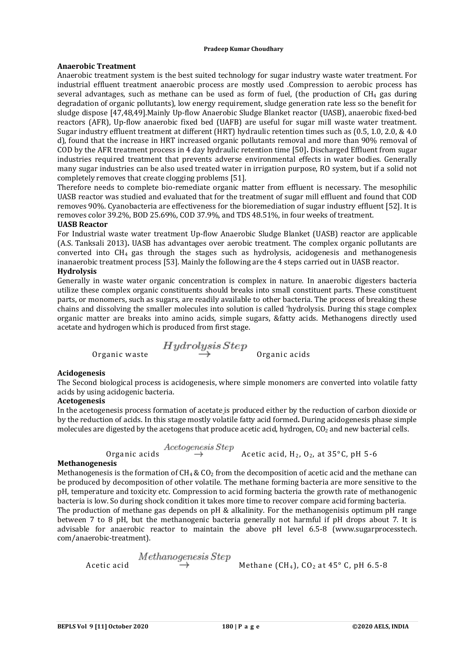# **Anaerobic Treatment**

Anaerobic treatment system is the best suited technology for sugar industry waste water treatment. For industrial effluent treatment anaerobic process are mostly used .Compression to aerobic process has several advantages, such as methane can be used as form of fuel, (the production of  $CH_4$  gas during degradation of organic pollutants), low energy requirement, sludge generation rate less so the benefit for sludge dispose [47,48,49].Mainly Up-flow Anaerobic Sludge Blanket reactor (UASB), anaerobic fixed-bed reactors (AFR), Up-flow anaerobic fixed bed (UAFB) are useful for sugar mill waste water treatment. Sugar industry effluent treatment at different (HRT) hydraulic retention times such as (0.5, 1.0, 2.0, & 4.0 d), found that the increase in HRT increased organic pollutants removal and more than 90% removal of COD by the AFR treatment process in 4 day hydraulic retention time [50]**.** Discharged Effluent from sugar industries required treatment that prevents adverse environmental effects in water bodies. Generally many sugar industries can be also used treated water in irrigation purpose, RO system, but if a solid not completely removes that create clogging problems [51].

Therefore needs to complete bio-remediate organic matter from effluent is necessary. The mesophilic UASB reactor was studied and evaluated that for the treatment of sugar mill effluent and found that COD removes 90%. Cyanobacteria are effectiveness for the bioremediation of sugar industry effluent [52]. It is removes color 39.2%, BOD 25.69%, COD 37.9%, and TDS 48.51%, in four weeks of treatment.

# **UASB Reactor**

For Industrial waste water treatment Up-flow Anaerobic Sludge Blanket (UASB) reactor are applicable (A.S. Tanksali 2013)**.** UASB has advantages over aerobic treatment. The complex organic pollutants are converted into  $CH_4$  gas through the stages such as hydrolysis, acidogenesis and methanogenesis inanaerobic treatment process [53]. Mainly the following are the 4 steps carried out in UASB reactor.

# **Hydrolysis**

Generally in waste water organic concentration is complex in nature. In anaerobic digesters bacteria utilize these complex organic constituents should breaks into small constituent parts. These constituent parts, or monomers, such as sugars, are readily available to other bacteria. The process of breaking these chains and dissolving the smaller molecules into solution is called 'hydrolysis. During this stage complex organic matter are breaks into amino acids, simple sugars, &fatty acids. Methanogens directly used acetate and hydrogen which is produced from first stage.

 $\begin{array}{rcl} Hydrolysis Step \\ \text{Organic waste} \end{array}$ 

### **Acidogenesis**

The Second biological process is acidogenesis, where simple monomers are converted into volatile fatty acids by using acidogenic bacteria.

# **Acetogenesis**

In the acetogenesis process formation of acetate is produced either by the reduction of carbon dioxide or by the reduction of acids. In this stage mostly volatile fatty acid formed**.** During acidogenesis phase simple molecules are digested by the acetogens that produce acetic acid, hydrogen,  $CO<sub>2</sub>$  and new bacterial cells.

 $Actogenesis Step$ <br>Organic acids  $\rightarrow$  Acetic acid, H<sub>2</sub>, O<sub>2</sub>, at 35°C, pH 5-6

#### **Methanogenesis**

Methanogenesis is the formation of  $CH_4 \& CO_2$  from the decomposition of acetic acid and the methane can be produced by decomposition of other volatile. The methane forming bacteria are more sensitive to the pH, temperature and toxicity etc. Compression to acid forming bacteria the growth rate of methanogenic bacteria is low. So during shock condition it takes more time to recover compare acid forming bacteria. The production of methane gas depends on pH & alkalinity. For the methanogenisis optimum pH range between 7 to 8 pH, but the methanogenic bacteria generally not harmful if pH drops about 7. It is advisable for anaerobic reactor to maintain the above pH level 6.5-8 [\(www.sugarprocesstech.](http://www.sugarprocesstech.) com/anaerobic-treatment).

$$
\text{Acetic acid} \begin{array}{c} Methano \text{genesis} \text{Step} \\ \rightarrow \end{array} \text{Method} \begin{array}{c} \text{Method} \\ \text{Method} \text{Borel} \end{array}
$$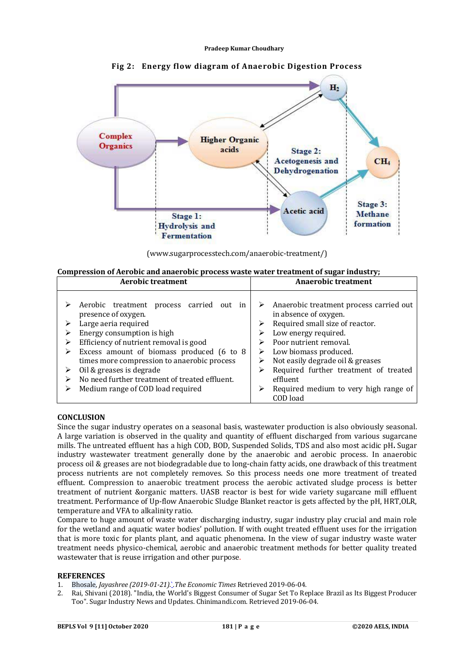

**Fig 2: Energy flow diagram of Anaerobic Digestion Process**

[\(www.sugarprocesstech.com/anaerobic-treatment/\)](http://www.sugarprocesstech.com/anaerobic-treatment/))

| Compression of Aerobic and anaerobic process waste water treatment of sugar industry; |                     |
|---------------------------------------------------------------------------------------|---------------------|
| Aerobic treatment                                                                     | Anaerobic treatment |

| Anaerobic treatment process carried out<br>Aerobic treatment process carried<br>out in<br>in absence of oxygen.<br>presence of oxygen.<br>Required small size of reactor.<br>Large aeria required<br>Energy consumption is high<br>Low energy required.<br>Efficiency of nutrient removal is good<br>Poor nutrient removal.<br>⋗<br>Excess amount of biomass produced (6 to 8<br>Low biomass produced.<br>➤<br>Not easily degrade oil & greases<br>times more compression to anaerobic process<br>Oil & greases is degrade<br>Required further treatment of treated<br>➤<br>⋗ | ACTOUR U CAURCHU                               | Anael VIVIC Geddhefft |
|-------------------------------------------------------------------------------------------------------------------------------------------------------------------------------------------------------------------------------------------------------------------------------------------------------------------------------------------------------------------------------------------------------------------------------------------------------------------------------------------------------------------------------------------------------------------------------|------------------------------------------------|-----------------------|
| Required medium to very high range of<br>Medium range of COD load required<br>COD load                                                                                                                                                                                                                                                                                                                                                                                                                                                                                        | No need further treatment of treated effluent. | effluent              |

### **CONCLUSION**

Since the sugar industry operates on a seasonal basis, wastewater production is also obviously seasonal. A large variation is observed in the quality and quantity of effluent discharged from various sugarcane mills. The untreated effluent has a high COD, BOD, Suspended Solids, TDS and also most acidic pH**.** Sugar industry wastewater treatment generally done by the anaerobic and aerobic process. In anaerobic process oil & greases are not biodegradable due to long-chain fatty acids, one drawback of this treatment process nutrients are not completely removes. So this process needs one more treatment of treated effluent. Compression to anaerobic treatment process the aerobic activated sludge process is better treatment of nutrient &organic matters. UASB reactor is best for wide variety sugarcane mill effluent treatment. Performance of Up-flow Anaerobic Sludge Blanket reactor is gets affected by the pH, HRT,OLR, temperature and VFA to alkalinity ratio.

Compare to huge amount of waste water discharging industry, sugar industry play crucial and main role for the wetland and aquatic water bodies' pollution. If with ought treated effluent uses for the irrigation that is more toxic for plants plant, and aquatic phenomena. In the view of sugar industry waste water treatment needs physico-chemical, aerobic and anaerobic treatment methods for better quality treated wastewater that is reuse irrigation and other purpose.

#### **REFERENCES**

- 1. Bhosale*, Jayashree (2019-01-21).*`*.The Economic Times* Retrieved 2019-06-04*.*
- 2. Rai, Shivani (2018). "India, the World's Biggest Consumer of Sugar Set To Replace Brazil as Its Biggest Producer Too". Sugar Industry News and Updates. Chinimandi.com. Retrieved 2019-06-04*.*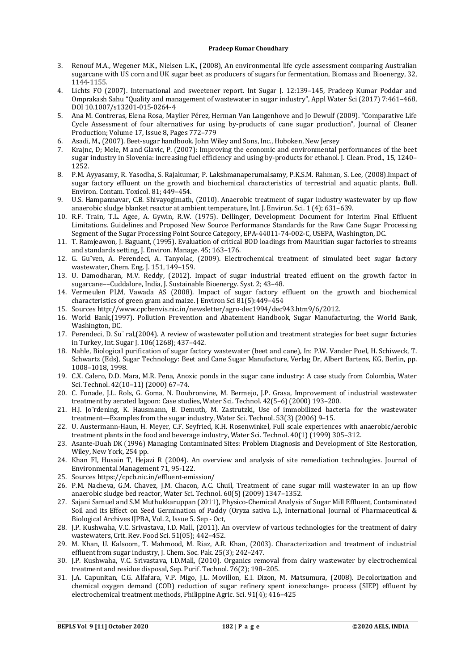- 3. Renouf M.A., Wegener M.K., Nielsen L.K., (2008), An environmental life cycle assessment comparing Australian sugarcane with US corn and UK sugar beet as producers of sugars for fermentation, Biomass and Bioenergy, 32, 1144-1155.
- 4. Lichts FO (2007). International and sweetener report. Int Sugar J. 12:139–145, Pradeep Kumar Poddar and Omprakash Sahu "Quality and management of wastewater in sugar industry", Appl Water Sci (2017) 7:461–468, DOI 10.1007/s13201-015-0264-4
- 5. Ana M. Contreras, Elena Rosa, Maylier Pérez, Herman Van Langenhove and Jo Dewulf (2009). "Comparative Life Cycle Assessment of four alternatives for using by-products of cane sugar production", Journal of Cleaner Production; Volume 17, Issue 8, Pages 772–779
- 6. Asadi, M., (2007). Beet-sugar handbook. John Wiley and Sons, Inc., Hoboken, New Jersey
- 7. Krajnc, D; Mele, M and Glavic, P. (2007): Improving the economic and environmental performances of the beet sugar industry in Slovenia: increasing fuel efficiency and using by-products for ethanol. J. Clean. Prod., 15, 1240– 1252.
- 8. P.M. Ayyasamy, R. Yasodha, S. Rajakumar, P. Lakshmanaperumalsamy, P.K.S.M. Rahman, S. Lee, (2008).Impact of sugar factory effluent on the growth and biochemical characteristics of terrestrial and aquatic plants, Bull. Environ. Contam. Toxicol. 81; 449–454.
- 9. U.S. Hampannavar, C.B. Shivayogimath, (2010). Anaerobic treatment of sugar industry wastewater by up flow anaerobic sludge blanket reactor at ambient temperature, Int. J. Environ. Sci. 1 (4); 631–639.
- 10. R.F. Train, T.L. Agee, A. Gywin, R.W. (1975). Dellinger, Development Document for Interim Final Effluent Limitations. Guidelines and Proposed New Source Performance Standards for the Raw Cane Sugar Processing Segment of the Sugar Processing Point Source Category, EPA-44011-74-002-C, USEPA, Washington, DC.
- 11. T. Ramjeawon, J. Baguant, (1995). Evaluation of critical BOD loadings from Mauritian sugar factories to streams and standards setting, J. Environ. Manage. 45; 163–176.
- 12. G. Gu¨ven, A. Perendeci, A. Tanyolac, (2009). Electrochemical treatment of simulated beet sugar factory wastewater, Chem. Eng. J. 151, 149–159.
- 13. U. Damodharan, M.V. Reddy, (2012). Impact of sugar industrial treated effluent on the growth factor in sugarcane––Cuddalore, India, J. Sustainable Bioenergy. Syst. 2; 43–48.
- 14. Vermeulen PLM, Vawada AS (2008). Impact of sugar factory effluent on the growth and biochemical characteristics of green gram and maize. J Environ Sci 81(5):449–454
- 15. Sources<http://www.cpcbenvis.nic.in/newsletter/agro-dec1994/dec943.htm9/6/2012.>
- 16. World Bank,(1997). Pollution Prevention and Abatement Handbook, Sugar Manufacturing, the World Bank, Washington, DC.
- 17. Perendeci, D. Su¨ ral,(2004). A review of wastewater pollution and treatment strategies for beet sugar factories in Turkey, Int. Sugar J. 106(1268); 437–442.
- 18. Nahle, Biological purification of sugar factory wastewater (beet and cane), In: P.W. Vander Poel, H. Schiweck, T. Schwartz (Eds), Sugar Technology: Beet and Cane Sugar Manufacture, Verlag Dr, Albert Bartens, KG, Berlin, pp. 1008–1018, 1998.
- 19. C.X. Calero, D.D. Mara, M.R. Pena, Anoxic ponds in the sugar cane industry: A case study from Colombia, Water Sci. Technol. 42(10–11) (2000) 67–74.
- 20. C. Fonade, J.L. Rols, G. Goma, N. Doubronvine, M. Bermejo, J.P. Grasa, Improvement of industrial wastewater treatment by aerated lagoon: Case studies, Water Sci. Technol. 42(5–6) (2000) 193–200.
- 21. H.J. Jo¨rdening, K. Hausmann, B. Demuth, M. Zastrutzki, Use of immobilized bacteria for the wastewater treatment—Examples from the sugar industry, Water Sci. Technol. 53(3) (2006) 9–15.
- 22. U. Austermann-Haun, H. Meyer, C.F. Seyfried, K.H. Rosenwinkel, Full scale experiences with anaerobic/aerobic treatment plants in the food and beverage industry, Water Sci. Technol. 40(1) (1999) 305–312.
- 23. Asante-Duah DK (1996) Managing Contaminated Sites: Problem Diagnosis and Development of Site Restoration, Wiley, New York, 254 pp.
- 24. Khan FI, Husain T, Hejazi R (2004). An overview and analysis of site remediation technologies. Journal of Environmental Management 71, 95-122.
- 25. Sources<https://cpcb.nic.in/effluent-emission/>
- 26. P.M. Nacheva, G.M. Chavez, J.M. Chacon, A.C. Chuil, Treatment of cane sugar mill wastewater in an up flow anaerobic sludge bed reactor, Water Sci. Technol. 60(5) (2009) 1347–1352.
- 27. Sajani Samuel and S.M Muthukkaruppan (2011), Physico-Chemical Analysis of Sugar Mill Effluent, Contaminated Soil and its Effect on Seed Germination of Paddy (Oryza sativa L.), International Journal of Pharmaceutical & Biological Archives IJPBA, Vol. 2, Issue 5. Sep - Oct,
- 28. J.P. Kushwaha, V.C. Srivastava, I.D. Mall, (2011). An overview of various technologies for the treatment of dairy wastewaters, Crit. Rev. Food Sci. 51(05); 442–452.
- 29. M. Khan, U. Kalsoom, T. Mahmood, M. Riaz, A.R. Khan, (2003). Characterization and treatment of industrial effluent from sugar industry, J. Chem. Soc. Pak. 25(3); 242–247.
- 30. J.P. Kushwaha, V.C. Srivastava, I.D.Mall, (2010). Organics removal from dairy wastewater by electrochemical treatment and residue disposal, Sep. Purif. Technol. 76(2); 198–205.
- 31. J.A. Capunitan, C.G. Alfafara, V.P. Migo, J.L. Movillon, E.I. Dizon, M. Matsumura, (2008). Decolorization and chemical oxygen demand (COD) reduction of sugar refinery spent ionexchange- process (SIEP) effluent by electrochemical treatment methods, Philippine Agric. Sci. 91(4); 416–425